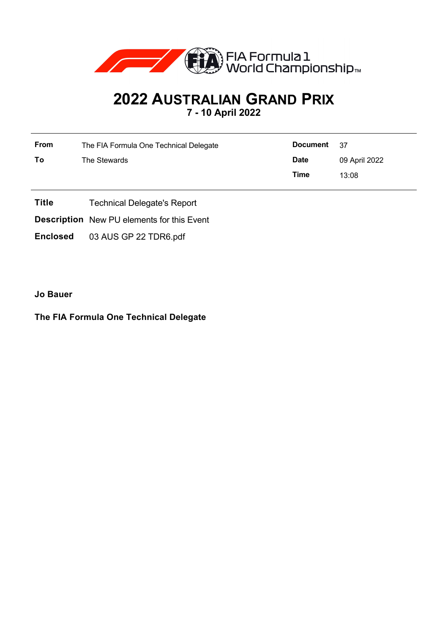

## **2022 AUSTRALIAN GRAND PRIX 7 - 10 April 2022**

**From** The FIA Formula One Technical Delegate **To** The Stewards **Document** 37 **Date** 09 April 2022 **Time** 13:08

- **Title** Technical Delegate's Report
- **Description** New PU elements for this Event
- **Enclosed** 03 AUS GP 22 TDR6.pdf

**Jo Bauer**

## **The FIA Formula One Technical Delegate**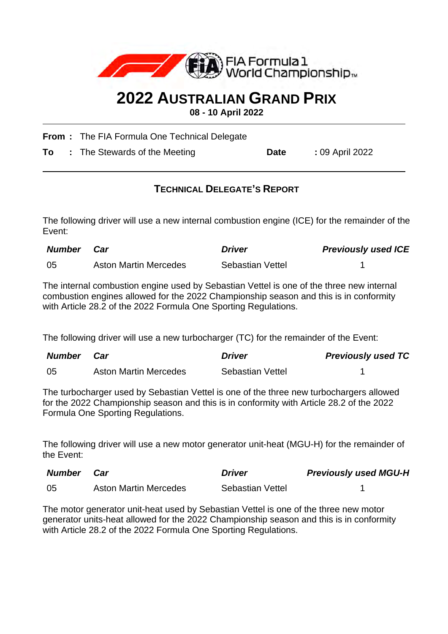

## **2022 AUSTRALIAN GRAND PRIX**

**08 - 10 April 2022**

**From :** The FIA Formula One Technical Delegate

**To** : The Stewards of the Meeting **Date** : 09 April 2022

## **TECHNICAL DELEGATE'S REPORT**

The following driver will use a new internal combustion engine (ICE) for the remainder of the Event:

| <b>Number</b> | Car                          | <i><b>Driver</b></i> | <b>Previously used ICE</b> |
|---------------|------------------------------|----------------------|----------------------------|
| -05           | <b>Aston Martin Mercedes</b> | Sebastian Vettel     |                            |

The internal combustion engine used by Sebastian Vettel is one of the three new internal combustion engines allowed for the 2022 Championship season and this is in conformity with Article 28.2 of the 2022 Formula One Sporting Regulations.

The following driver will use a new turbocharger (TC) for the remainder of the Event:

| Number | Car                          | <b>Driver</b>           | <b>Previously used TC</b> |
|--------|------------------------------|-------------------------|---------------------------|
| -05    | <b>Aston Martin Mercedes</b> | <b>Sebastian Vettel</b> |                           |

The turbocharger used by Sebastian Vettel is one of the three new turbochargers allowed for the 2022 Championship season and this is in conformity with Article 28.2 of the 2022 Formula One Sporting Regulations.

The following driver will use a new motor generator unit-heat (MGU-H) for the remainder of the Event:

| <b>Number</b> | <b>Car</b>                   | <b>Driver</b>    | <b>Previously used MGU-H</b> |
|---------------|------------------------------|------------------|------------------------------|
| -05           | <b>Aston Martin Mercedes</b> | Sebastian Vettel |                              |

The motor generator unit-heat used by Sebastian Vettel is one of the three new motor generator units-heat allowed for the 2022 Championship season and this is in conformity with Article 28.2 of the 2022 Formula One Sporting Regulations.